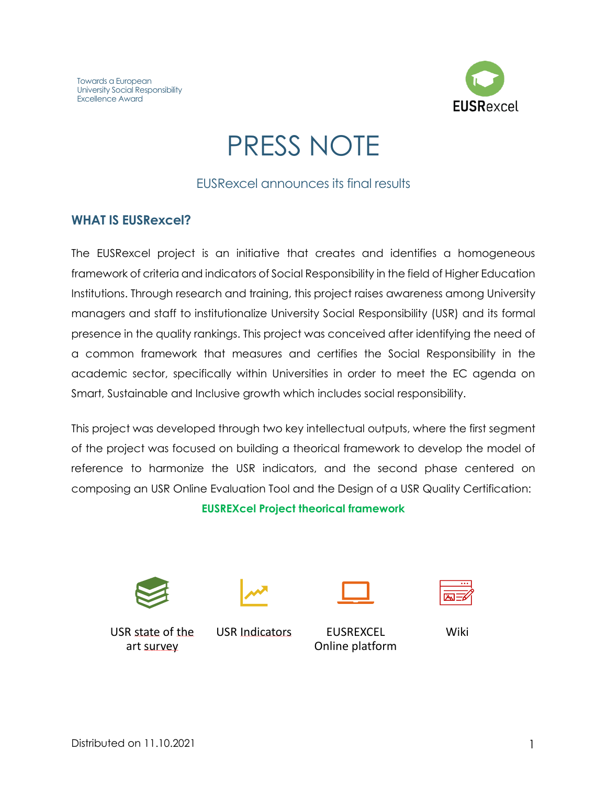

# PRESS NOTE

#### EUSRexcel announces its final results

#### **WHAT IS EUSRexcel?**

The EUSRexcel project is an initiative that creates and identifies a homogeneous framework of criteria and indicators of Social Responsibility in the field of Higher Education Institutions. Through research and training, this project raises awareness among University managers and staff to institutionalize University Social Responsibility (USR) and its formal presence in the quality rankings. This project was conceived after identifying the need of a common framework that measures and certifies the Social Responsibility in the academic sector, specifically within Universities in order to meet the EC agenda on Smart, Sustainable and Inclusive growth which includes social responsibility.

This project was developed through two key intellectual outputs, where the first segment of the project was focused on building a theorical framework to develop the model of reference to harmonize the USR indicators, and the second phase centered on composing an USR Online Evaluation Tool and the Design of a USR Quality Certification:

**EUSREXcel Project theorical framework**









USR state of the art survey

USR Indicators EUSREXCEL

Online platform

Wiki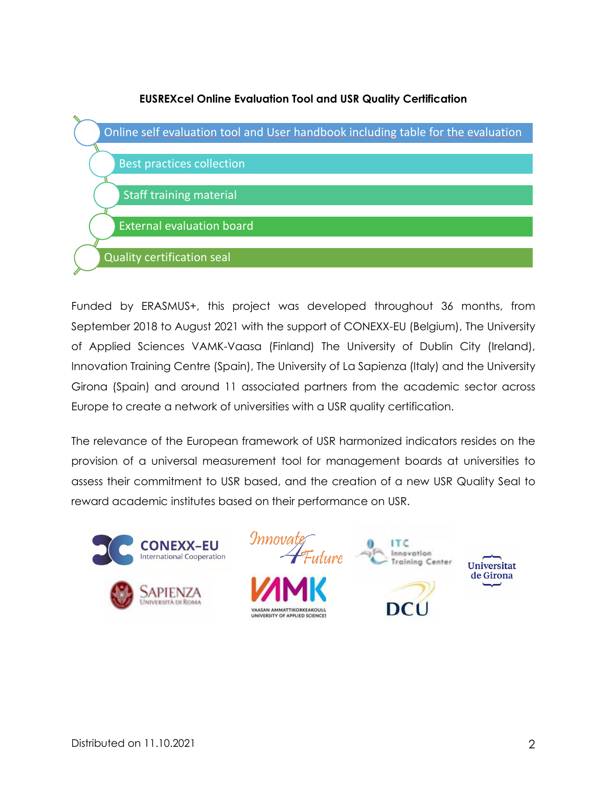

Funded by ERASMUS+, this project was developed throughout 36 months, from September 2018 to August 2021 with the support of CONEXX-EU (Belgium), The University of Applied Sciences VAMK-Vaasa (Finland) The University of Dublin City (Ireland), Innovation Training Centre (Spain), The University of La Sapienza (Italy) and the University Girona (Spain) and around 11 associated partners from the academic sector across Europe to create a network of universities with a USR quality certification.

The relevance of the European framework of USR harmonized indicators resides on the provision of a universal measurement tool for management boards at universities to assess their commitment to USR based, and the creation of a new USR Quality Seal to reward academic institutes based on their performance on USR.



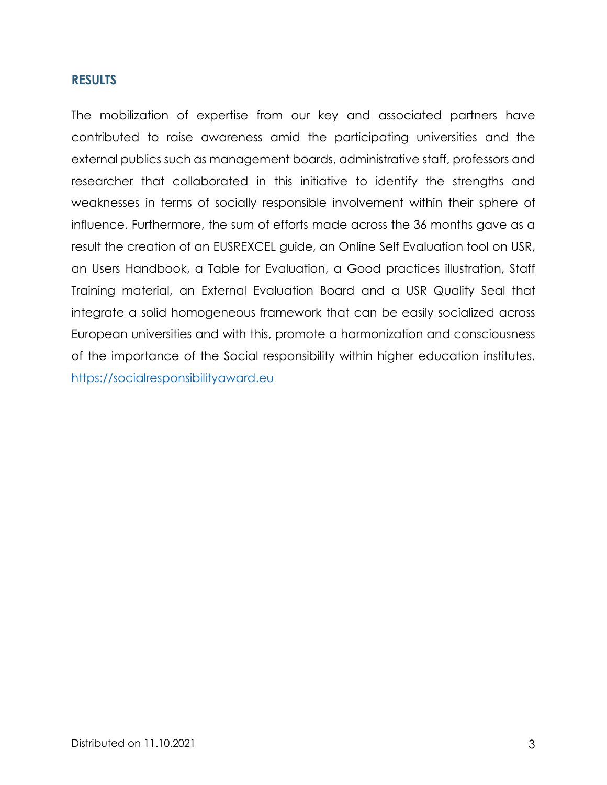#### **RESULTS**

The mobilization of expertise from our key and associated partners have contributed to raise awareness amid the participating universities and the external publics such as management boards, administrative staff, professors and researcher that collaborated in this initiative to identify the strengths and weaknesses in terms of socially responsible involvement within their sphere of influence. Furthermore, the sum of efforts made across the 36 months gave as a result the creation of an EUSREXCEL guide, an Online Self Evaluation tool on USR, an Users Handbook, a Table for Evaluation, a Good practices illustration, Staff Training material, an External Evaluation Board and a USR Quality Seal that integrate a solid homogeneous framework that can be easily socialized across European universities and with this, promote a harmonization and consciousness of the importance of the Social responsibility within higher education institutes. [https://socialresponsibilityaward.eu](https://socialresponsibilityaward.eu/)